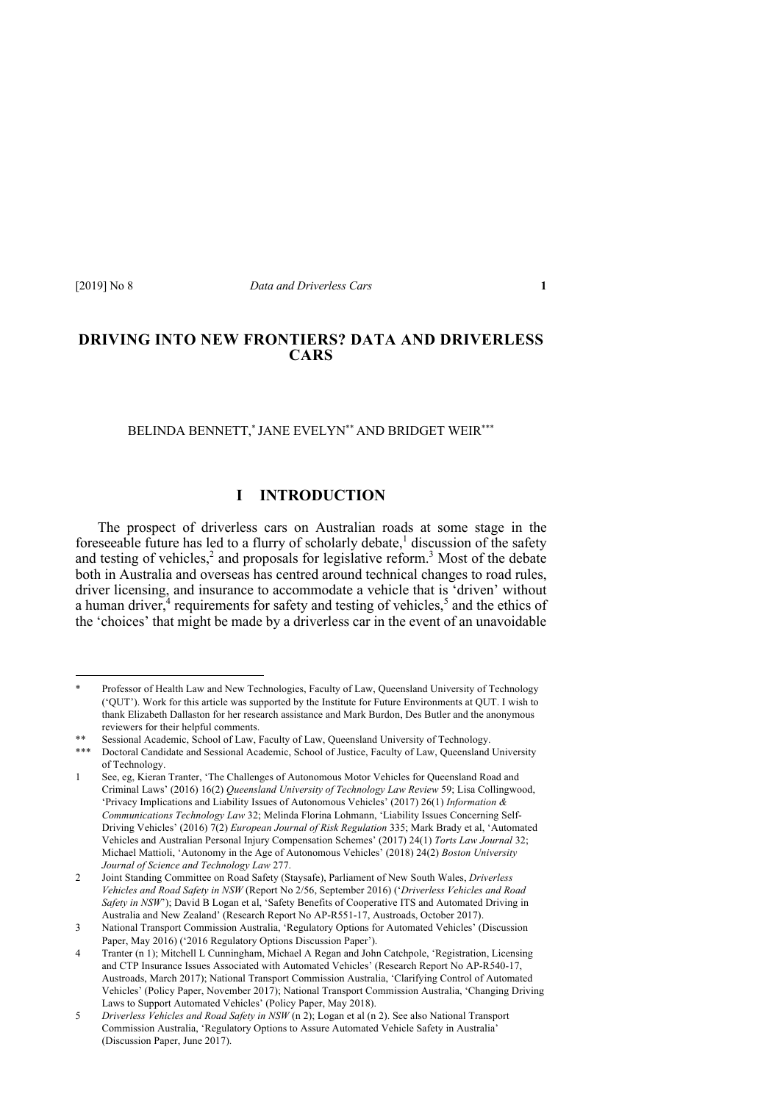# **DRIVING INTO NEW FRONTIERS? DATA AND DRIVERLESS CARS**

BELINDA BENNETT,\* JANE EVELYN\*\* AND BRIDGET WEIR\*\*\*

## **I INTRODUCTION**

The prospect of driverless cars on Australian roads at some stage in the fore seeable future has led to a flurry of scholarly debate,<sup>1</sup> discussion of the safety and testing of vehicles,<sup>2</sup> and proposals for legislative reform.<sup>3</sup> Most of the debate both in Australia and overseas has centred around technical changes to road rules, driver licensing, and insurance to accommodate a vehicle that is 'driven' without a human driver, $4$  requirements for safety and testing of vehicles, $5$  and the ethics of the 'choices' that might be made by a driverless car in the event of an unavoidable

<sup>\*</sup> Professor of Health Law and New Technologies, Faculty of Law, Queensland University of Technology ('QUT'). Work for this article was supported by the Institute for Future Environments at QUT. I wish to thank Elizabeth Dallaston for her research assistance and Mark Burdon, Des Butler and the anonymous reviewers for their helpful comments.

<sup>\*\*</sup> Sessional Academic, School of Law, Faculty of Law, Queensland University of Technology.

<sup>\*\*\*</sup> Doctoral Candidate and Sessional Academic, School of Justice, Faculty of Law, Queensland University of Technology.

<sup>1</sup> See, eg, Kieran Tranter, 'The Challenges of Autonomous Motor Vehicles for Queensland Road and Criminal Laws' (2016) 16(2) *Queensland University of Technology Law Review* 59; Lisa Collingwood, 'Privacy Implications and Liability Issues of Autonomous Vehicles' (2017) 26(1) *Information & Communications Technology Law* 32; Melinda Florina Lohmann, 'Liability Issues Concerning Self-Driving Vehicles' (2016) 7(2) *European Journal of Risk Regulation* 335; Mark Brady et al, 'Automated Vehicles and Australian Personal Injury Compensation Schemes' (2017) 24(1) *Torts Law Journal* 32; Michael Mattioli, 'Autonomy in the Age of Autonomous Vehicles' (2018) 24(2) *Boston University Journal of Science and Technology Law* 277.

<sup>2</sup> Joint Standing Committee on Road Safety (Staysafe), Parliament of New South Wales, *Driverless Vehicles and Road Safety in NSW* (Report No 2/56, September 2016) ('*Driverless Vehicles and Road Safety in NSW*'); David B Logan et al, 'Safety Benefits of Cooperative ITS and Automated Driving in Australia and New Zealand' (Research Report No AP-R551-17, Austroads, October 2017).

<sup>3</sup> National Transport Commission Australia, 'Regulatory Options for Automated Vehicles' (Discussion Paper, May 2016) ('2016 Regulatory Options Discussion Paper').

<sup>4</sup> Tranter (n 1); Mitchell L Cunningham, Michael A Regan and John Catchpole, 'Registration, Licensing and CTP Insurance Issues Associated with Automated Vehicles' (Research Report No AP-R540-17, Austroads, March 2017); National Transport Commission Australia, 'Clarifying Control of Automated Vehicles' (Policy Paper, November 2017); National Transport Commission Australia, 'Changing Driving Laws to Support Automated Vehicles' (Policy Paper, May 2018).

<sup>5</sup> *Driverless Vehicles and Road Safety in NSW* (n 2); Logan et al (n 2). See also National Transport Commission Australia, 'Regulatory Options to Assure Automated Vehicle Safety in Australia' (Discussion Paper, June 2017).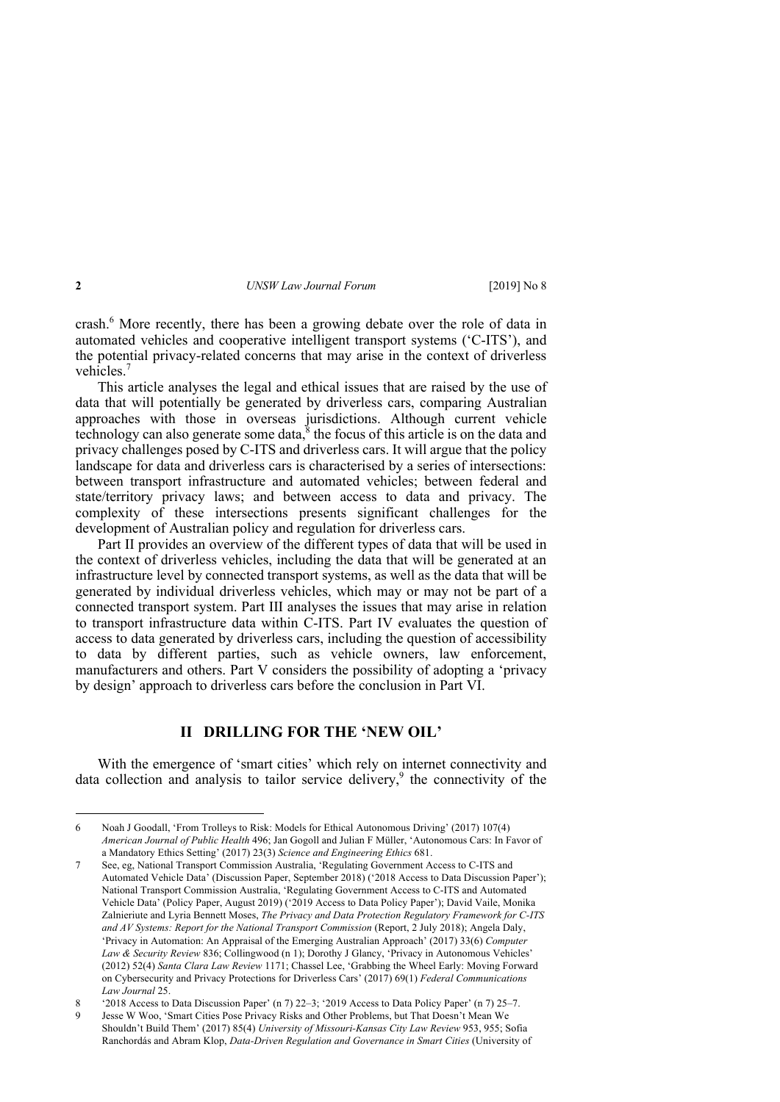crash.6 More recently, there has been a growing debate over the role of data in automated vehicles and cooperative intelligent transport systems ('C-ITS'), and the potential privacy-related concerns that may arise in the context of driverless vehicles<sup>7</sup>

This article analyses the legal and ethical issues that are raised by the use of data that will potentially be generated by driverless cars, comparing Australian approaches with those in overseas jurisdictions. Although current vehicle technology can also generate some data, $^8$  the focus of this article is on the data and privacy challenges posed by C-ITS and driverless cars. It will argue that the policy landscape for data and driverless cars is characterised by a series of intersections: between transport infrastructure and automated vehicles; between federal and state/territory privacy laws; and between access to data and privacy. The complexity of these intersections presents significant challenges for the development of Australian policy and regulation for driverless cars.

Part II provides an overview of the different types of data that will be used in the context of driverless vehicles, including the data that will be generated at an infrastructure level by connected transport systems, as well as the data that will be generated by individual driverless vehicles, which may or may not be part of a connected transport system. Part III analyses the issues that may arise in relation to transport infrastructure data within C-ITS. Part IV evaluates the question of access to data generated by driverless cars, including the question of accessibility to data by different parties, such as vehicle owners, law enforcement, manufacturers and others. Part V considers the possibility of adopting a 'privacy by design' approach to driverless cars before the conclusion in Part VI.

#### **II DRILLING FOR THE 'NEW OIL'**

With the emergence of 'smart cities' which rely on internet connectivity and data collection and analysis to tailor service delivery,<sup>9</sup> the connectivity of the

<sup>6</sup> Noah J Goodall, 'From Trolleys to Risk: Models for Ethical Autonomous Driving' (2017) 107(4) *American Journal of Public Health* 496; Jan Gogoll and Julian F Müller, 'Autonomous Cars: In Favor of a Mandatory Ethics Setting' (2017) 23(3) *Science and Engineering Ethics* 681.

<sup>7</sup> See, eg, National Transport Commission Australia, 'Regulating Government Access to C-ITS and Automated Vehicle Data' (Discussion Paper, September 2018) ('2018 Access to Data Discussion Paper'); National Transport Commission Australia, 'Regulating Government Access to C-ITS and Automated Vehicle Data' (Policy Paper, August 2019) ('2019 Access to Data Policy Paper'); David Vaile, Monika Zalnieriute and Lyria Bennett Moses, *The Privacy and Data Protection Regulatory Framework for C-ITS and AV Systems: Report for the National Transport Commission* (Report, 2 July 2018); Angela Daly, 'Privacy in Automation: An Appraisal of the Emerging Australian Approach' (2017) 33(6) *Computer Law & Security Review* 836; Collingwood (n 1); Dorothy J Glancy, 'Privacy in Autonomous Vehicles' (2012) 52(4) *Santa Clara Law Review* 1171; Chassel Lee, 'Grabbing the Wheel Early: Moving Forward on Cybersecurity and Privacy Protections for Driverless Cars' (2017) 69(1) *Federal Communications Law Journal* 25.

<sup>8</sup> '2018 Access to Data Discussion Paper' (n 7) 22–3; '2019 Access to Data Policy Paper' (n 7) 25–7.

<sup>9</sup> Jesse W Woo, 'Smart Cities Pose Privacy Risks and Other Problems, but That Doesn't Mean We Shouldn't Build Them' (2017) 85(4) *University of Missouri-Kansas City Law Review* 953, 955; Sofia Ranchordás and Abram Klop, *Data-Driven Regulation and Governance in Smart Cities* (University of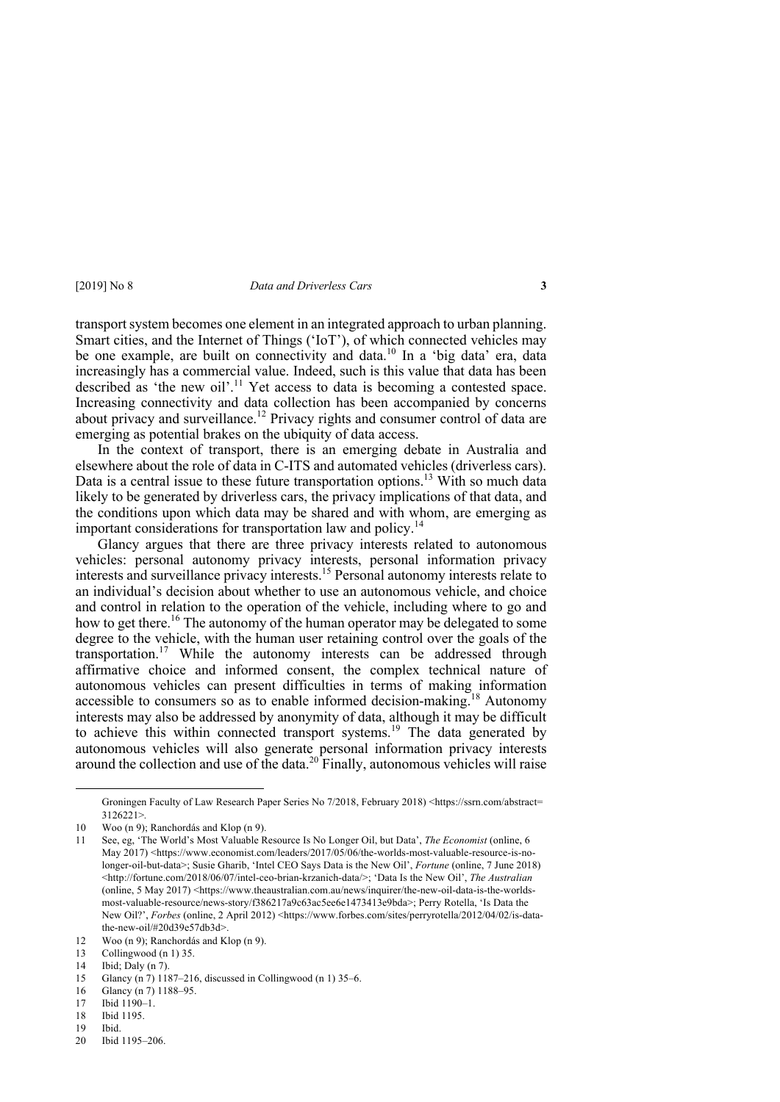transport system becomes one element in an integrated approach to urban planning. Smart cities, and the Internet of Things ('IoT'), of which connected vehicles may be one example, are built on connectivity and data.<sup>10</sup> In a 'big data' era, data increasingly has a commercial value. Indeed, such is this value that data has been described as 'the new oil'.<sup>11</sup> Yet access to data is becoming a contested space. Increasing connectivity and data collection has been accompanied by concerns about privacy and surveillance.<sup>12</sup> Privacy rights and consumer control of data are emerging as potential brakes on the ubiquity of data access.

In the context of transport, there is an emerging debate in Australia and elsewhere about the role of data in C-ITS and automated vehicles (driverless cars). Data is a central issue to these future transportation options.<sup>13</sup> With so much data likely to be generated by driverless cars, the privacy implications of that data, and the conditions upon which data may be shared and with whom, are emerging as important considerations for transportation law and policy.<sup>14</sup>

Glancy argues that there are three privacy interests related to autonomous vehicles: personal autonomy privacy interests, personal information privacy interests and surveillance privacy interests.15 Personal autonomy interests relate to an individual's decision about whether to use an autonomous vehicle, and choice and control in relation to the operation of the vehicle, including where to go and how to get there.<sup>16</sup> The autonomy of the human operator may be delegated to some degree to the vehicle, with the human user retaining control over the goals of the transportation.<sup>17</sup> While the autonomy interests can be addressed through affirmative choice and informed consent, the complex technical nature of autonomous vehicles can present difficulties in terms of making information accessible to consumers so as to enable informed decision-making.<sup>18</sup> Autonomy interests may also be addressed by anonymity of data, although it may be difficult to achieve this within connected transport systems.<sup>19</sup> The data generated by autonomous vehicles will also generate personal information privacy interests around the collection and use of the data.<sup>20</sup> Finally, autonomous vehicles will raise

13 Collingwood (n 1) 35.

Ibid.

Groningen Faculty of Law Research Paper Series No 7/2018, February 2018) <https://ssrn.com/abstract= 3126221>*.*

<sup>10</sup> Woo (n 9); Ranchordás and Klop (n 9).

<sup>11</sup> See, eg, 'The World's Most Valuable Resource Is No Longer Oil, but Data', *The Economist* (online, 6 May 2017) <https://www.economist.com/leaders/2017/05/06/the-worlds-most-valuable-resource-is-nolonger-oil-but-data>; Susie Gharib, 'Intel CEO Says Data is the New Oil', *Fortune* (online, 7 June 2018) <http://fortune.com/2018/06/07/intel-ceo-brian-krzanich-data/>; 'Data Is the New Oil', *The Australian* (online, 5 May 2017) <https://www.theaustralian.com.au/news/inquirer/the-new-oil-data-is-the-worldsmost-valuable-resource/news-story/f386217a9c63ac5ee6e1473413e9bda>; Perry Rotella, 'Is Data the New Oil?', *Forbes* (online, 2 April 2012) <https://www.forbes.com/sites/perryrotella/2012/04/02/is-datathe-new-oil/#20d39e57db3d>.

<sup>12</sup> Woo (n 9); Ranchordás and Klop (n 9).

<sup>14</sup> Ibid; Daly (n 7).

<sup>15</sup> Glancy (n 7) 1187–216, discussed in Collingwood (n 1) 35–6.

<sup>16</sup> Glancy (n 7) 1188–95.

<sup>17</sup> Ibid 1190–1.

<sup>18</sup> Ibid 1195.<br>19 Ibid.

<sup>20</sup> Ibid 1195–206.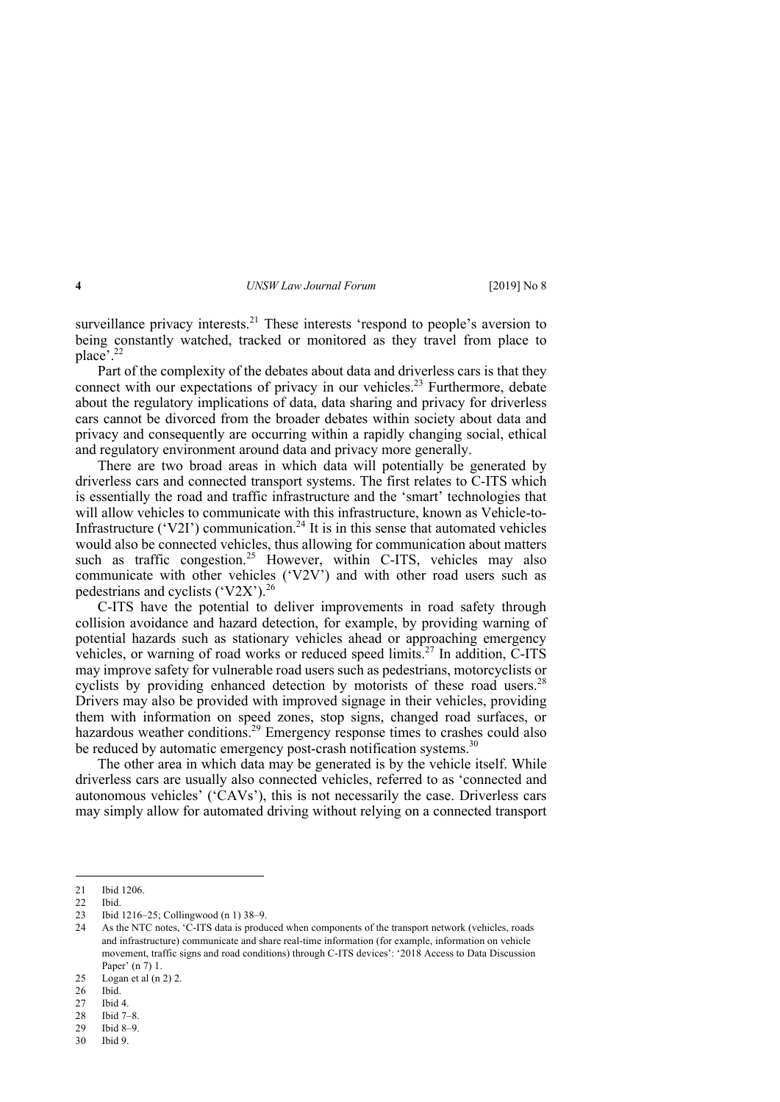surveillance privacy interests.<sup>21</sup> These interests 'respond to people's aversion to being constantly watched, tracked or monitored as they travel from place to place'. 22

Part of the complexity of the debates about data and driverless cars is that they connect with our expectations of privacy in our vehicles.<sup>23</sup> Furthermore, debate about the regulatory implications of data, data sharing and privacy for driverless cars cannot be divorced from the broader debates within society about data and privacy and consequently are occurring within a rapidly changing social, ethical and regulatory environment around data and privacy more generally.

There are two broad areas in which data will potentially be generated by driverless cars and connected transport systems. The first relates to C-ITS which is essentially the road and traffic infrastructure and the 'smart' technologies that will allow vehicles to communicate with this infrastructure, known as Vehicle-to-Infrastructure ('V2I') communication.<sup>24</sup> It is in this sense that automated vehicles would also be connected vehicles, thus allowing for communication about matters such as traffic congestion.<sup>25</sup> However, within C-ITS, vehicles may also communicate with other vehicles ('V2V') and with other road users such as pedestrians and cyclists ('V2X').<sup>26</sup>

C-ITS have the potential to deliver improvements in road safety through collision avoidance and hazard detection, for example, by providing warning of potential hazards such as stationary vehicles ahead or approaching emergency vehicles, or warning of road works or reduced speed limits.<sup>27</sup> In addition,  $\tilde{C}$ -ITS may improve safety for vulnerable road users such as pedestrians, motorcyclists or cyclists by providing enhanced detection by motorists of these road users.<sup>28</sup> Drivers may also be provided with improved signage in their vehicles, providing them with information on speed zones, stop signs, changed road surfaces, or hazardous weather conditions.<sup>29</sup> Emergency response times to crashes could also be reduced by automatic emergency post-crash notification systems.<sup>30</sup>

The other area in which data may be generated is by the vehicle itself. While driverless cars are usually also connected vehicles, referred to as 'connected and autonomous vehicles' ('CAVs'), this is not necessarily the case. Driverless cars may simply allow for automated driving without relying on a connected transport

<sup>21</sup> Ibid 1206.

<sup>22</sup> Ibid.

<sup>23</sup> Ibid 1216–25; Collingwood (n 1) 38–9.

<sup>24</sup> As the NTC notes, 'C-ITS data is produced when components of the transport network (vehicles, roads and infrastructure) communicate and share real-time information (for example, information on vehicle movement, traffic signs and road conditions) through C-ITS devices': '2018 Access to Data Discussion Paper' (n 7) 1.

<sup>25</sup> Logan et al (n 2) 2.

<sup>26</sup> Ibid.

<sup>27</sup> Ibid 4.

<sup>28</sup> Ibid 7–8.

<sup>29</sup> Ibid 8–9.

<sup>30</sup> Ibid 9.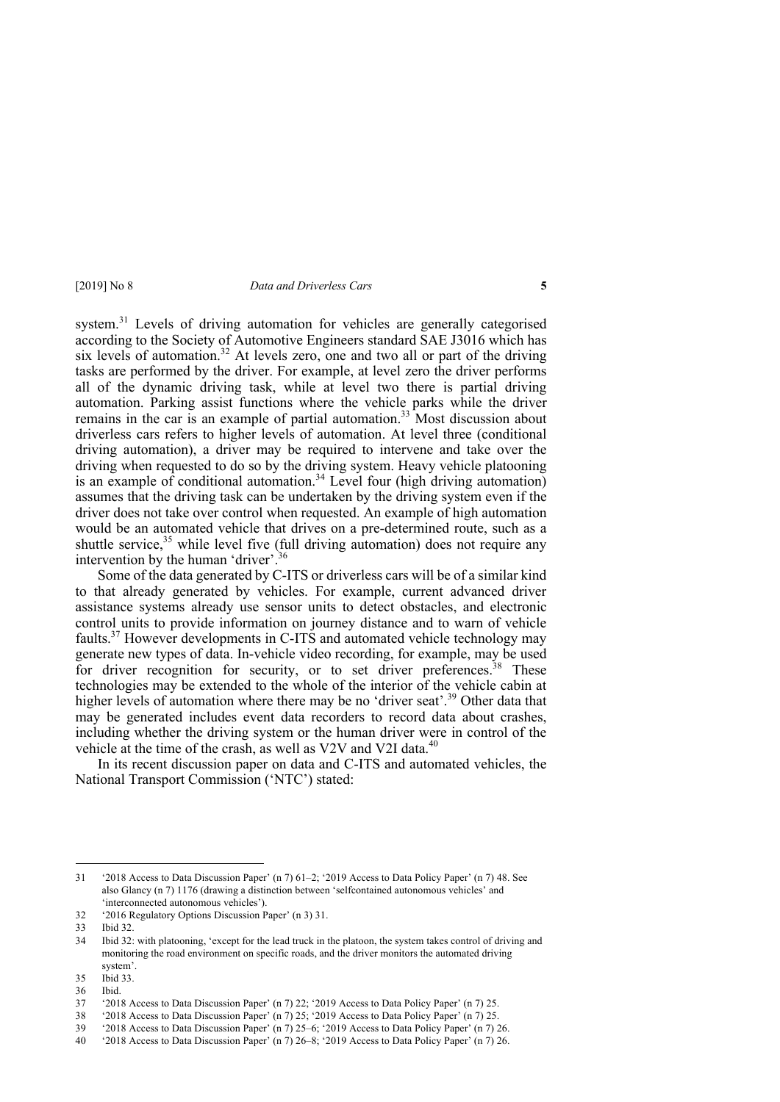system.<sup>31</sup> Levels of driving automation for vehicles are generally categorised according to the Society of Automotive Engineers standard SAE J3016 which has six levels of automation.<sup>32</sup> At levels zero, one and two all or part of the driving tasks are performed by the driver. For example, at level zero the driver performs all of the dynamic driving task, while at level two there is partial driving automation. Parking assist functions where the vehicle parks while the driver remains in the car is an example of partial automation.<sup>33</sup> Most discussion about driverless cars refers to higher levels of automation. At level three (conditional driving automation), a driver may be required to intervene and take over the driving when requested to do so by the driving system. Heavy vehicle platooning is an example of conditional automation.<sup>34</sup> Level four (high driving automation) assumes that the driving task can be undertaken by the driving system even if the driver does not take over control when requested. An example of high automation would be an automated vehicle that drives on a pre-determined route, such as a shuttle service,<sup>35</sup> while level five (full driving automation) does not require any intervention by the human 'driver'.<sup>36</sup>

Some of the data generated by C-ITS or driverless cars will be of a similar kind to that already generated by vehicles. For example, current advanced driver assistance systems already use sensor units to detect obstacles, and electronic control units to provide information on journey distance and to warn of vehicle faults.37 However developments in C-ITS and automated vehicle technology may generate new types of data. In-vehicle video recording, for example, may be used for driver recognition for security, or to set driver preferences.<sup>38</sup> These technologies may be extended to the whole of the interior of the vehicle cabin at higher levels of automation where there may be no 'driver seat'.<sup>39</sup> Other data that may be generated includes event data recorders to record data about crashes, including whether the driving system or the human driver were in control of the vehicle at the time of the crash, as well as V2V and V2I data.<sup>40</sup>

In its recent discussion paper on data and C-ITS and automated vehicles, the National Transport Commission ('NTC') stated:

<sup>31</sup> '2018 Access to Data Discussion Paper' (n 7) 61–2; '2019 Access to Data Policy Paper' (n 7) 48. See also Glancy (n 7) 1176 (drawing a distinction between 'selfcontained autonomous vehicles' and 'interconnected autonomous vehicles').

<sup>32</sup> '2016 Regulatory Options Discussion Paper' (n 3) 31.

<sup>33</sup> Ibid 32.

<sup>34</sup> Ibid 32: with platooning, 'except for the lead truck in the platoon, the system takes control of driving and monitoring the road environment on specific roads, and the driver monitors the automated driving system'.

<sup>35</sup> Ibid 33.

<sup>36</sup> Ibid.

<sup>37</sup> '2018 Access to Data Discussion Paper' (n 7) 22; '2019 Access to Data Policy Paper' (n 7) 25.

<sup>38</sup> '2018 Access to Data Discussion Paper' (n 7) 25; '2019 Access to Data Policy Paper' (n 7) 25.

<sup>39</sup> '2018 Access to Data Discussion Paper' (n 7) 25–6; '2019 Access to Data Policy Paper' (n 7) 26.

<sup>40</sup> '2018 Access to Data Discussion Paper' (n 7) 26–8; '2019 Access to Data Policy Paper' (n 7) 26.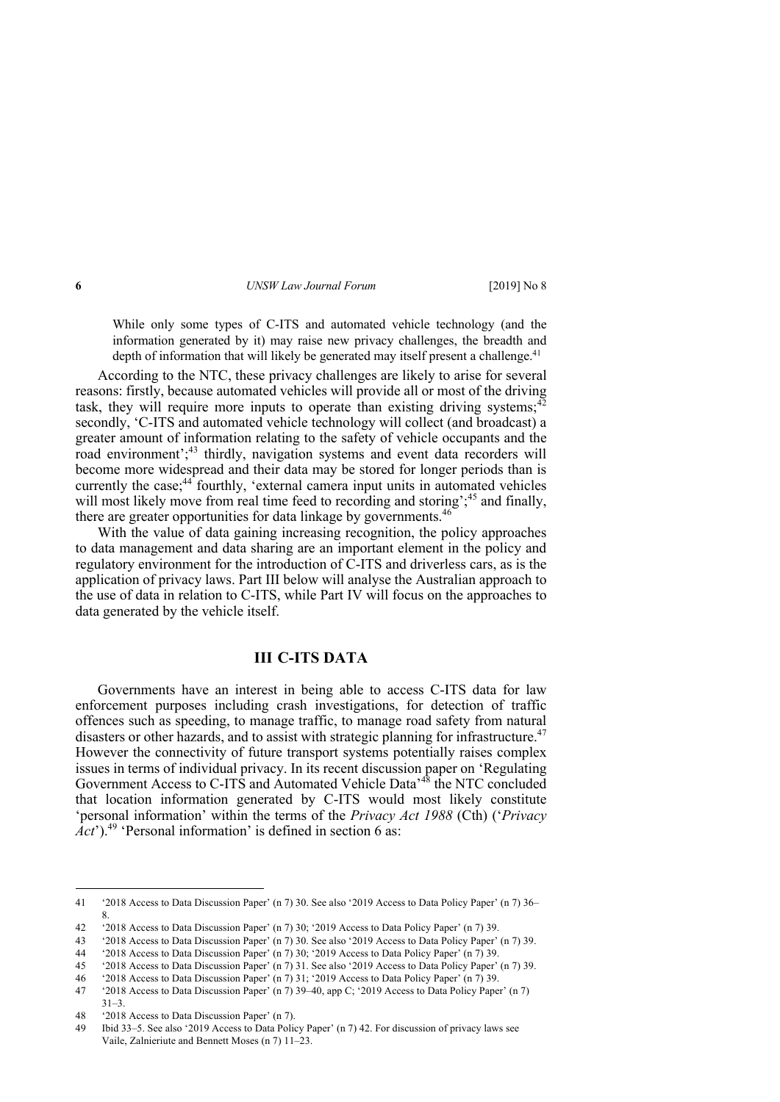While only some types of C-ITS and automated vehicle technology (and the information generated by it) may raise new privacy challenges, the breadth and depth of information that will likely be generated may itself present a challenge.<sup>41</sup>

According to the NTC, these privacy challenges are likely to arise for several reasons: firstly, because automated vehicles will provide all or most of the driving task, they will require more inputs to operate than existing driving systems: $42$ secondly, 'C-ITS and automated vehicle technology will collect (and broadcast) a greater amount of information relating to the safety of vehicle occupants and the road environment';<sup>43</sup> thirdly, navigation systems and event data recorders will become more widespread and their data may be stored for longer periods than is currently the case;<sup>44</sup> fourthly, 'external camera input units in automated vehicles will most likely move from real time feed to recording and storing';<sup>45</sup> and finally, there are greater opportunities for data linkage by governments.<sup>46</sup>

With the value of data gaining increasing recognition, the policy approaches to data management and data sharing are an important element in the policy and regulatory environment for the introduction of C-ITS and driverless cars, as is the application of privacy laws. Part III below will analyse the Australian approach to the use of data in relation to C-ITS, while Part IV will focus on the approaches to data generated by the vehicle itself.

## **III C-ITS DATA**

Governments have an interest in being able to access C-ITS data for law enforcement purposes including crash investigations, for detection of traffic offences such as speeding, to manage traffic, to manage road safety from natural disasters or other hazards, and to assist with strategic planning for infrastructure.<sup>47</sup> However the connectivity of future transport systems potentially raises complex issues in terms of individual privacy. In its recent discussion paper on 'Regulating Government Access to C-ITS and Automated Vehicle Data<sup>,48</sup> the NTC concluded that location information generated by C-ITS would most likely constitute 'personal information' within the terms of the *Privacy Act 1988* (Cth) ('*Privacy*   $\hat{A}ct$ <sup>2</sup>).<sup>49</sup> 'Personal information' is defined in section 6 as:

<sup>41</sup> '2018 Access to Data Discussion Paper' (n 7) 30. See also '2019 Access to Data Policy Paper' (n 7) 36– 8.

<sup>42</sup> '2018 Access to Data Discussion Paper' (n 7) 30; '2019 Access to Data Policy Paper' (n 7) 39.

<sup>43</sup> '2018 Access to Data Discussion Paper' (n 7) 30. See also '2019 Access to Data Policy Paper' (n 7) 39.

<sup>44</sup> '2018 Access to Data Discussion Paper' (n 7) 30; '2019 Access to Data Policy Paper' (n 7) 39.

<sup>45</sup> '2018 Access to Data Discussion Paper' (n 7) 31. See also '2019 Access to Data Policy Paper' (n 7) 39.

<sup>46</sup> '2018 Access to Data Discussion Paper' (n 7) 31; '2019 Access to Data Policy Paper' (n 7) 39.

<sup>47</sup> '2018 Access to Data Discussion Paper' (n 7) 39–40, app C; '2019 Access to Data Policy Paper' (n 7)  $31-3.$ 

<sup>48</sup> '2018 Access to Data Discussion Paper' (n 7).

<sup>49</sup> Ibid 33–5. See also '2019 Access to Data Policy Paper' (n 7) 42. For discussion of privacy laws see Vaile, Zalnieriute and Bennett Moses (n 7) 11–23.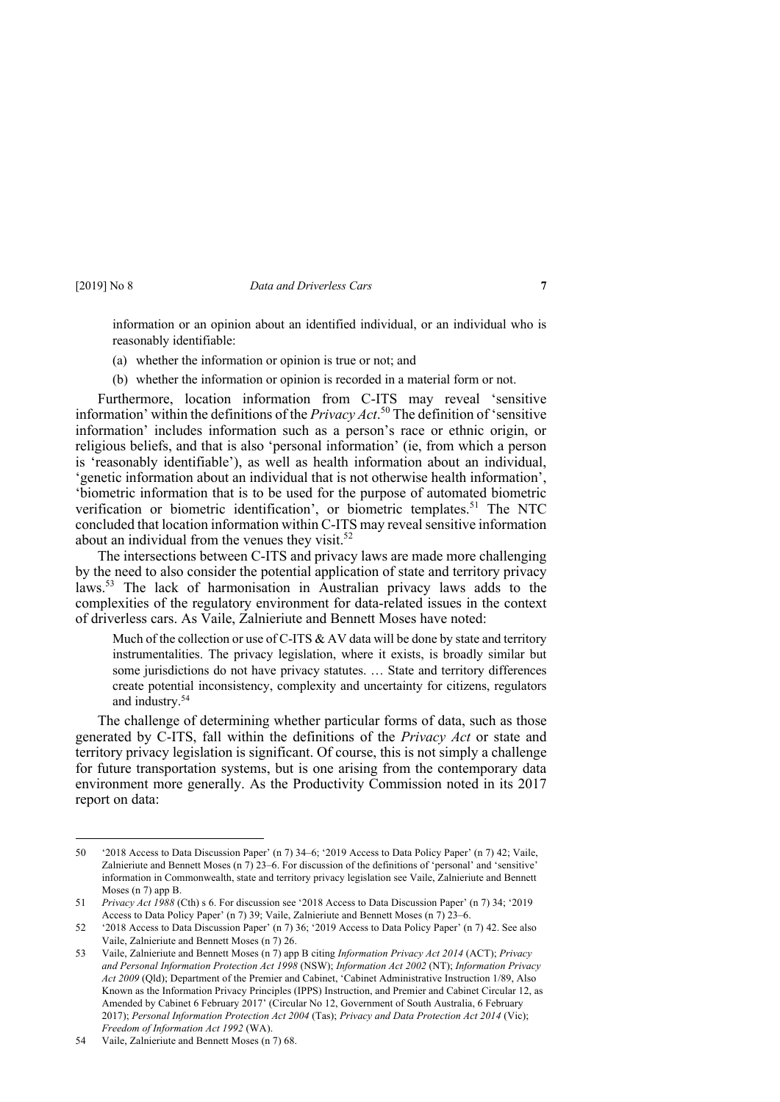information or an opinion about an identified individual, or an individual who is reasonably identifiable:

- (a) whether the information or opinion is true or not; and
- (b) whether the information or opinion is recorded in a material form or not.

Furthermore, location information from C-ITS may reveal 'sensitive information' within the definitions of the *Privacy Act*. <sup>50</sup> The definition of 'sensitive information' includes information such as a person's race or ethnic origin, or religious beliefs, and that is also 'personal information' (ie, from which a person is 'reasonably identifiable'), as well as health information about an individual, 'genetic information about an individual that is not otherwise health information', 'biometric information that is to be used for the purpose of automated biometric verification or biometric identification', or biometric templates.<sup>51</sup> The NTC concluded that location information within C-ITS may reveal sensitive information about an individual from the venues they visit. $52$ 

The intersections between C-ITS and privacy laws are made more challenging by the need to also consider the potential application of state and territory privacy laws.53 The lack of harmonisation in Australian privacy laws adds to the complexities of the regulatory environment for data-related issues in the context of driverless cars. As Vaile, Zalnieriute and Bennett Moses have noted:

Much of the collection or use of C-ITS & AV data will be done by state and territory instrumentalities. The privacy legislation, where it exists, is broadly similar but some jurisdictions do not have privacy statutes. ... State and territory differences create potential inconsistency, complexity and uncertainty for citizens, regulators and industry.54

The challenge of determining whether particular forms of data, such as those generated by C-ITS, fall within the definitions of the *Privacy Act* or state and territory privacy legislation is significant. Of course, this is not simply a challenge for future transportation systems, but is one arising from the contemporary data environment more generally. As the Productivity Commission noted in its 2017 report on data:

<sup>50</sup> '2018 Access to Data Discussion Paper' (n 7) 34–6; '2019 Access to Data Policy Paper' (n 7) 42; Vaile, Zalnieriute and Bennett Moses (n 7) 23–6. For discussion of the definitions of 'personal' and 'sensitive' information in Commonwealth, state and territory privacy legislation see Vaile, Zalnieriute and Bennett Moses (n 7) app B.

<sup>51</sup> *Privacy Act 1988* (Cth) s 6. For discussion see '2018 Access to Data Discussion Paper' (n 7) 34; '2019 Access to Data Policy Paper' (n 7) 39; Vaile, Zalnieriute and Bennett Moses (n 7) 23–6.

<sup>52</sup> '2018 Access to Data Discussion Paper' (n 7) 36; '2019 Access to Data Policy Paper' (n 7) 42. See also Vaile, Zalnieriute and Bennett Moses (n 7) 26.

<sup>53</sup> Vaile, Zalnieriute and Bennett Moses (n 7) app B citing *Information Privacy Act 2014* (ACT); *Privacy and Personal Information Protection Act 1998* (NSW); *Information Act 2002* (NT); *Information Privacy Act 2009* (Qld); Department of the Premier and Cabinet, 'Cabinet Administrative Instruction 1/89, Also Known as the Information Privacy Principles (IPPS) Instruction, and Premier and Cabinet Circular 12, as Amended by Cabinet 6 February 2017' (Circular No 12, Government of South Australia, 6 February 2017); *Personal Information Protection Act 2004* (Tas); *Privacy and Data Protection Act 2014* (Vic); *Freedom of Information Act 1992* (WA).

<sup>54</sup> Vaile, Zalnieriute and Bennett Moses (n 7) 68.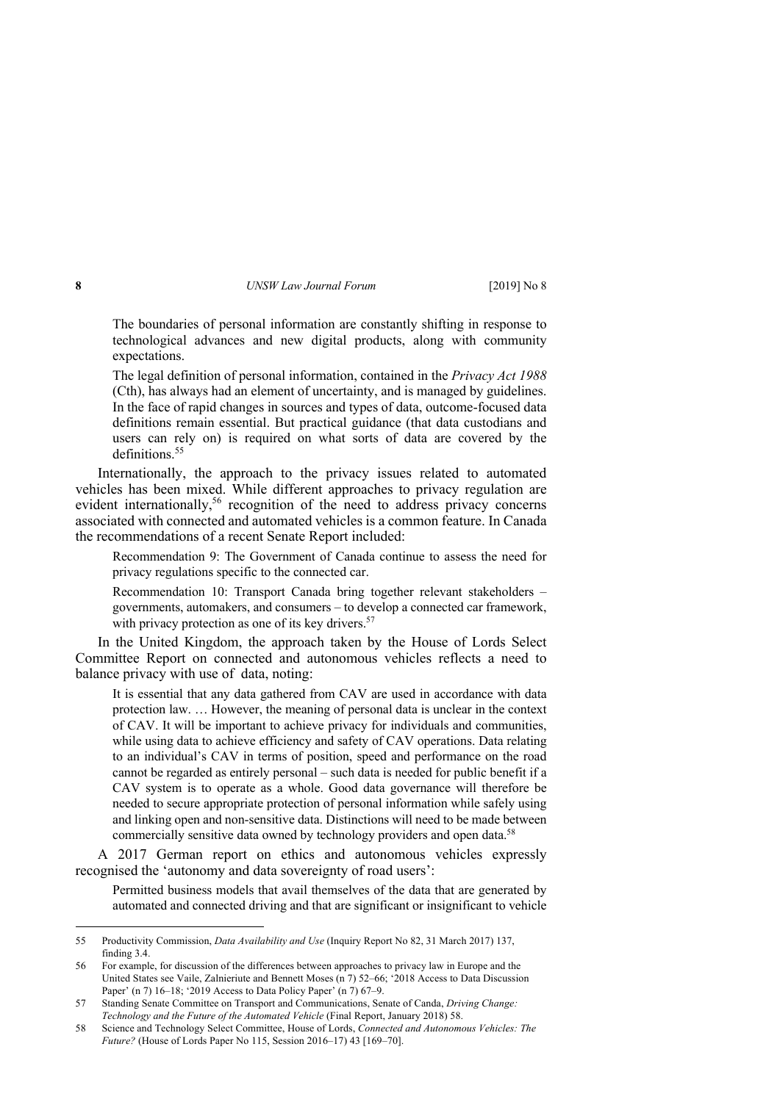The boundaries of personal information are constantly shifting in response to technological advances and new digital products, along with community expectations.

The legal definition of personal information, contained in the *Privacy Act 1988* (Cth), has always had an element of uncertainty, and is managed by guidelines. In the face of rapid changes in sources and types of data, outcome-focused data definitions remain essential. But practical guidance (that data custodians and users can rely on) is required on what sorts of data are covered by the definitions<sup>55</sup>

Internationally, the approach to the privacy issues related to automated vehicles has been mixed. While different approaches to privacy regulation are evident internationally,<sup>56</sup> recognition of the need to address privacy concerns associated with connected and automated vehicles is a common feature. In Canada the recommendations of a recent Senate Report included:

Recommendation 9: The Government of Canada continue to assess the need for privacy regulations specific to the connected car.

Recommendation 10: Transport Canada bring together relevant stakeholders – governments, automakers, and consumers – to develop a connected car framework, with privacy protection as one of its key drivers. $57$ 

In the United Kingdom, the approach taken by the House of Lords Select Committee Report on connected and autonomous vehicles reflects a need to balance privacy with use of data, noting:

It is essential that any data gathered from CAV are used in accordance with data protection law. … However, the meaning of personal data is unclear in the context of CAV. It will be important to achieve privacy for individuals and communities, while using data to achieve efficiency and safety of CAV operations. Data relating to an individual's CAV in terms of position, speed and performance on the road cannot be regarded as entirely personal – such data is needed for public benefit if a CAV system is to operate as a whole. Good data governance will therefore be needed to secure appropriate protection of personal information while safely using and linking open and non-sensitive data. Distinctions will need to be made between commercially sensitive data owned by technology providers and open data.<sup>58</sup>

A 2017 German report on ethics and autonomous vehicles expressly recognised the 'autonomy and data sovereignty of road users':

Permitted business models that avail themselves of the data that are generated by automated and connected driving and that are significant or insignificant to vehicle

<sup>55</sup> Productivity Commission, *Data Availability and Use* (Inquiry Report No 82, 31 March 2017) 137, finding 3.4.

<sup>56</sup> For example, for discussion of the differences between approaches to privacy law in Europe and the United States see Vaile, Zalnieriute and Bennett Moses (n 7) 52–66; '2018 Access to Data Discussion Paper' (n 7) 16–18; '2019 Access to Data Policy Paper' (n 7) 67–9.

<sup>57</sup> Standing Senate Committee on Transport and Communications, Senate of Canda, *Driving Change: Technology and the Future of the Automated Vehicle* (Final Report, January 2018) 58.

<sup>58</sup> Science and Technology Select Committee, House of Lords, *Connected and Autonomous Vehicles: The Future?* (House of Lords Paper No 115, Session 2016–17) 43 [169–70].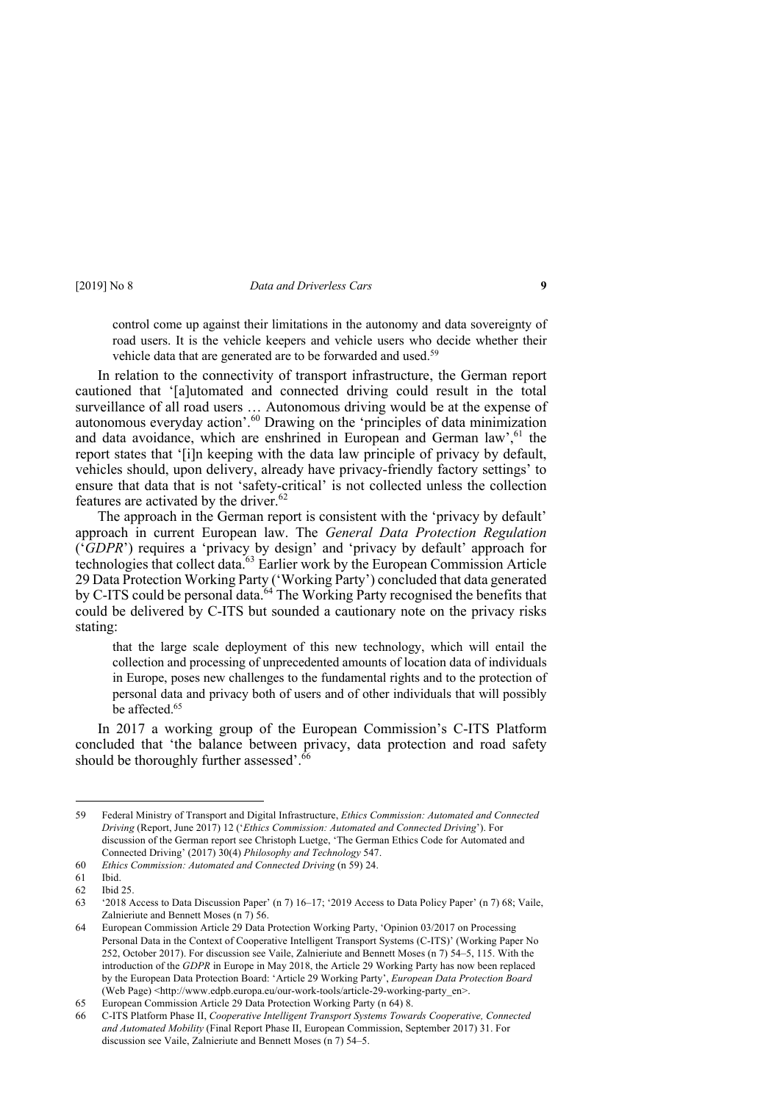control come up against their limitations in the autonomy and data sovereignty of road users. It is the vehicle keepers and vehicle users who decide whether their vehicle data that are generated are to be forwarded and used.<sup>59</sup>

In relation to the connectivity of transport infrastructure, the German report cautioned that '[a]utomated and connected driving could result in the total surveillance of all road users … Autonomous driving would be at the expense of autonomous everyday action'. <sup>60</sup> Drawing on the 'principles of data minimization and data avoidance, which are enshrined in European and German law', <sup>61</sup> the report states that '[i]n keeping with the data law principle of privacy by default, vehicles should, upon delivery, already have privacy-friendly factory settings' to ensure that data that is not 'safety-critical' is not collected unless the collection features are activated by the driver.<sup>62</sup>

The approach in the German report is consistent with the 'privacy by default' approach in current European law. The *General Data Protection Regulation* ('*GDPR*') requires a 'privacy by design' and 'privacy by default' approach for technologies that collect data. <sup>63</sup> Earlier work by the European Commission Article 29 Data Protection Working Party ('Working Party') concluded that data generated by C-ITS could be personal data.<sup>64</sup> The Working Party recognised the benefits that could be delivered by C-ITS but sounded a cautionary note on the privacy risks stating:

that the large scale deployment of this new technology, which will entail the collection and processing of unprecedented amounts of location data of individuals in Europe, poses new challenges to the fundamental rights and to the protection of personal data and privacy both of users and of other individuals that will possibly be affected.<sup>65</sup>

In 2017 a working group of the European Commission's C-ITS Platform concluded that 'the balance between privacy, data protection and road safety should be thoroughly further assessed'.<sup>66</sup>

<sup>59</sup> Federal Ministry of Transport and Digital Infrastructure, *Ethics Commission: Automated and Connected Driving* (Report, June 2017) 12 ('*Ethics Commission: Automated and Connected Driving*'). For discussion of the German report see Christoph Luetge, 'The German Ethics Code for Automated and Connected Driving' (2017) 30(4) *Philosophy and Technology* 547.

<sup>60</sup> *Ethics Commission: Automated and Connected Driving* (n 59) 24.

<sup>61</sup> Ibid.

<sup>62</sup> Ibid 25.

<sup>63</sup> '2018 Access to Data Discussion Paper' (n 7) 16–17; '2019 Access to Data Policy Paper' (n 7) 68; Vaile, Zalnieriute and Bennett Moses (n 7) 56.

<sup>64</sup> European Commission Article 29 Data Protection Working Party, 'Opinion 03/2017 on Processing Personal Data in the Context of Cooperative Intelligent Transport Systems (C-ITS)' (Working Paper No 252, October 2017). For discussion see Vaile, Zalnieriute and Bennett Moses (n 7) 54–5, 115. With the introduction of the *GDPR* in Europe in May 2018, the Article 29 Working Party has now been replaced by the European Data Protection Board: 'Article 29 Working Party', *European Data Protection Board* (Web Page) <http://www.edpb.europa.eu/our-work-tools/article-29-working-party\_en>.

<sup>65</sup> European Commission Article 29 Data Protection Working Party (n 64) 8.

<sup>66</sup> C-ITS Platform Phase II, *Cooperative Intelligent Transport Systems Towards Cooperative, Connected and Automated Mobility* (Final Report Phase II, European Commission, September 2017) 31. For discussion see Vaile, Zalnieriute and Bennett Moses (n 7) 54–5.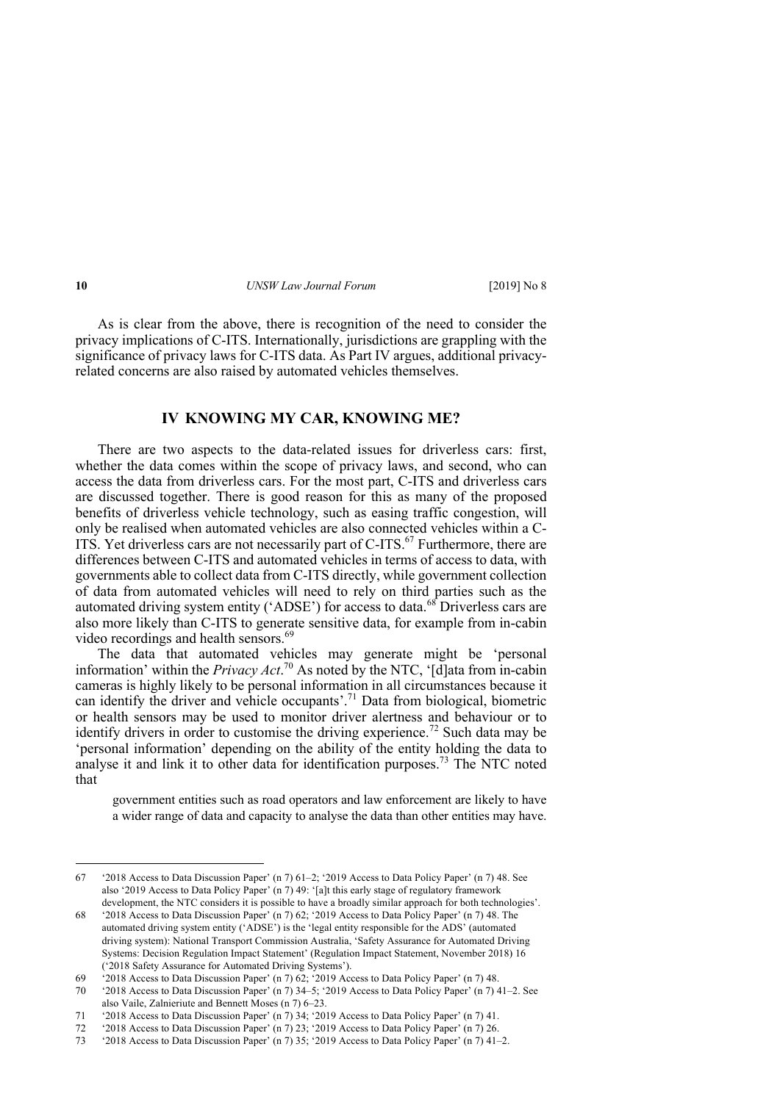As is clear from the above, there is recognition of the need to consider the privacy implications of C-ITS. Internationally, jurisdictions are grappling with the significance of privacy laws for C-ITS data. As Part IV argues, additional privacyrelated concerns are also raised by automated vehicles themselves.

#### **IV KNOWING MY CAR, KNOWING ME?**

There are two aspects to the data-related issues for driverless cars: first, whether the data comes within the scope of privacy laws, and second, who can access the data from driverless cars. For the most part, C-ITS and driverless cars are discussed together. There is good reason for this as many of the proposed benefits of driverless vehicle technology, such as easing traffic congestion, will only be realised when automated vehicles are also connected vehicles within a C-ITS. Yet driverless cars are not necessarily part of C-ITS.<sup>67</sup> Furthermore, there are differences between C-ITS and automated vehicles in terms of access to data, with governments able to collect data from C-ITS directly, while government collection of data from automated vehicles will need to rely on third parties such as the automated driving system entity ('ADSE') for access to data.<sup>68</sup> Driverless cars are also more likely than C-ITS to generate sensitive data, for example from in-cabin video recordings and health sensors.<sup>69</sup>

The data that automated vehicles may generate might be 'personal information' within the *Privacy Act*. <sup>70</sup> As noted by the NTC, '[d]ata from in-cabin cameras is highly likely to be personal information in all circumstances because it can identify the driver and vehicle occupants'. <sup>71</sup> Data from biological, biometric or health sensors may be used to monitor driver alertness and behaviour or to identify drivers in order to customise the driving experience.<sup>72</sup> Such data may be 'personal information' depending on the ability of the entity holding the data to analyse it and link it to other data for identification purposes.<sup>73</sup> The NTC noted that

government entities such as road operators and law enforcement are likely to have a wider range of data and capacity to analyse the data than other entities may have.

<sup>67</sup> '2018 Access to Data Discussion Paper' (n 7) 61–2; '2019 Access to Data Policy Paper' (n 7) 48. See also '2019 Access to Data Policy Paper' (n 7) 49: '[a]t this early stage of regulatory framework development, the NTC considers it is possible to have a broadly similar approach for both technologies'.

<sup>68</sup> '2018 Access to Data Discussion Paper' (n 7) 62; '2019 Access to Data Policy Paper' (n 7) 48. The automated driving system entity ('ADSE') is the 'legal entity responsible for the ADS' (automated driving system): National Transport Commission Australia, 'Safety Assurance for Automated Driving Systems: Decision Regulation Impact Statement' (Regulation Impact Statement, November 2018) 16 ('2018 Safety Assurance for Automated Driving Systems').

<sup>69</sup> '2018 Access to Data Discussion Paper' (n 7) 62; '2019 Access to Data Policy Paper' (n 7) 48.

<sup>70</sup> '2018 Access to Data Discussion Paper' (n 7) 34–5; '2019 Access to Data Policy Paper' (n 7) 41–2. See also Vaile, Zalnieriute and Bennett Moses (n 7) 6–23.

<sup>71</sup> '2018 Access to Data Discussion Paper' (n 7) 34; '2019 Access to Data Policy Paper' (n 7) 41.

<sup>72</sup> '2018 Access to Data Discussion Paper' (n 7) 23; '2019 Access to Data Policy Paper' (n 7) 26.

<sup>73</sup> '2018 Access to Data Discussion Paper' (n 7) 35; '2019 Access to Data Policy Paper' (n 7) 41–2.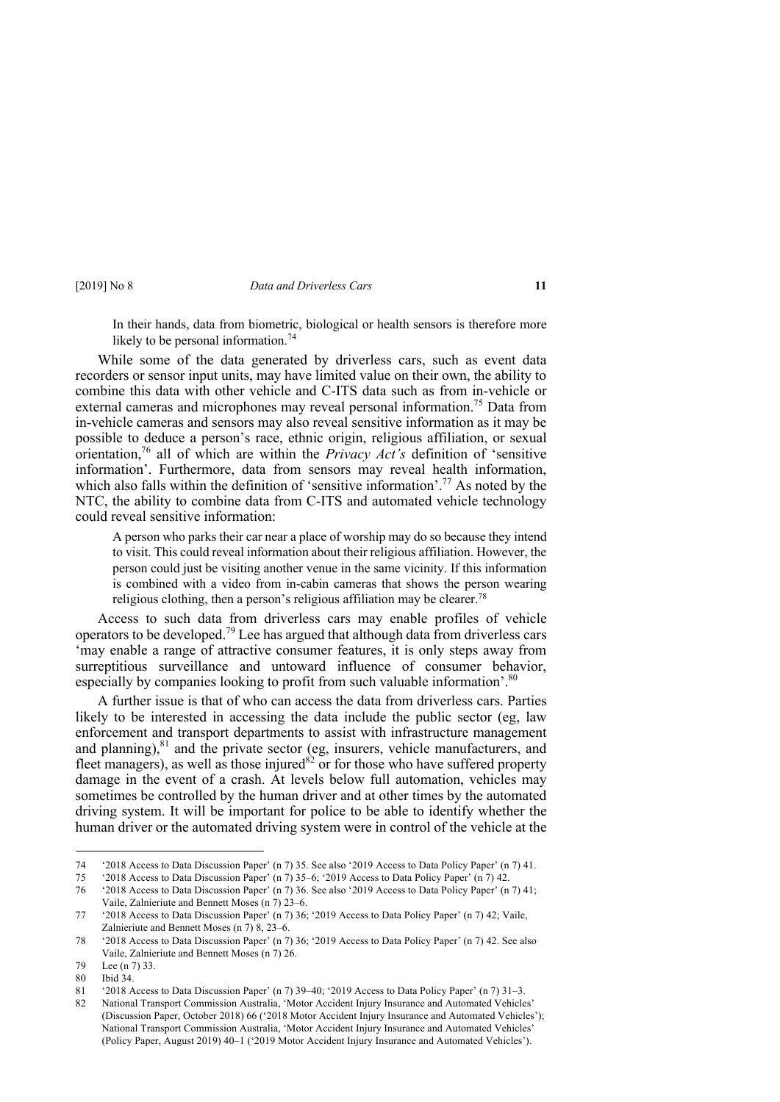In their hands, data from biometric, biological or health sensors is therefore more likely to be personal information.<sup>74</sup>

While some of the data generated by driverless cars, such as event data recorders or sensor input units, may have limited value on their own, the ability to combine this data with other vehicle and C-ITS data such as from in-vehicle or external cameras and microphones may reveal personal information.75 Data from in-vehicle cameras and sensors may also reveal sensitive information as it may be possible to deduce a person's race, ethnic origin, religious affiliation, or sexual orientation,76 all of which are within the *Privacy Act's* definition of 'sensitive information'. Furthermore, data from sensors may reveal health information, which also falls within the definition of 'sensitive information'.<sup>77</sup> As noted by the NTC, the ability to combine data from C-ITS and automated vehicle technology could reveal sensitive information:

A person who parks their car near a place of worship may do so because they intend to visit. This could reveal information about their religious affiliation. However, the person could just be visiting another venue in the same vicinity. If this information is combined with a video from in-cabin cameras that shows the person wearing religious clothing, then a person's religious affiliation may be clearer.<sup>78</sup>

Access to such data from driverless cars may enable profiles of vehicle operators to be developed.<sup>79</sup> Lee has argued that although data from driverless cars 'may enable a range of attractive consumer features, it is only steps away from surreptitious surveillance and untoward influence of consumer behavior, especially by companies looking to profit from such valuable information'.<sup>80</sup>

A further issue is that of who can access the data from driverless cars. Parties likely to be interested in accessing the data include the public sector (eg, law enforcement and transport departments to assist with infrastructure management and planning), $81$  and the private sector (eg, insurers, vehicle manufacturers, and fleet managers), as well as those injured  $82$  or for those who have suffered property damage in the event of a crash. At levels below full automation, vehicles may sometimes be controlled by the human driver and at other times by the automated driving system. It will be important for police to be able to identify whether the human driver or the automated driving system were in control of the vehicle at the

<sup>74</sup> '2018 Access to Data Discussion Paper' (n 7) 35. See also '2019 Access to Data Policy Paper' (n 7) 41.

<sup>75</sup> '2018 Access to Data Discussion Paper' (n 7) 35–6; '2019 Access to Data Policy Paper' (n 7) 42.

<sup>76</sup> '2018 Access to Data Discussion Paper' (n 7) 36. See also '2019 Access to Data Policy Paper' (n 7) 41; Vaile, Zalnieriute and Bennett Moses (n 7) 23–6.

<sup>77</sup> '2018 Access to Data Discussion Paper' (n 7) 36; '2019 Access to Data Policy Paper' (n 7) 42; Vaile, Zalnieriute and Bennett Moses (n 7) 8, 23–6.

<sup>78</sup> '2018 Access to Data Discussion Paper' (n 7) 36; '2019 Access to Data Policy Paper' (n 7) 42. See also Vaile, Zalnieriute and Bennett Moses (n 7) 26.

<sup>79</sup> Lee (n 7) 33.

<sup>80</sup> Ibid 34.

<sup>81</sup> '2018 Access to Data Discussion Paper' (n 7) 39–40; '2019 Access to Data Policy Paper' (n 7) 31–3.

<sup>82</sup> National Transport Commission Australia, 'Motor Accident Injury Insurance and Automated Vehicles' (Discussion Paper, October 2018) 66 ('2018 Motor Accident Injury Insurance and Automated Vehicles'); National Transport Commission Australia, 'Motor Accident Injury Insurance and Automated Vehicles' (Policy Paper, August 2019) 40–1 ('2019 Motor Accident Injury Insurance and Automated Vehicles').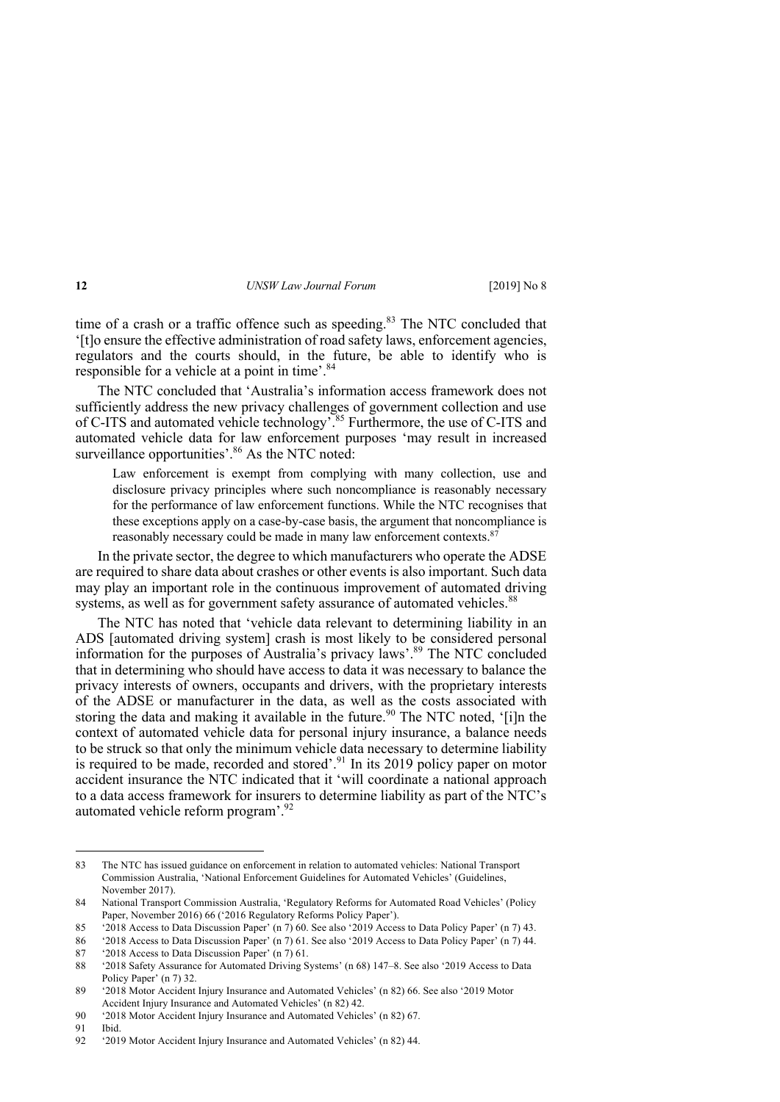time of a crash or a traffic offence such as speeding. $83$  The NTC concluded that '[t]o ensure the effective administration of road safety laws, enforcement agencies, regulators and the courts should, in the future, be able to identify who is responsible for a vehicle at a point in time'.<sup>84</sup>

The NTC concluded that 'Australia's information access framework does not sufficiently address the new privacy challenges of government collection and use of C-ITS and automated vehicle technology'.<sup>85</sup> Furthermore, the use of C-ITS and automated vehicle data for law enforcement purposes 'may result in increased surveillance opportunities'.<sup>86</sup> As the NTC noted:

Law enforcement is exempt from complying with many collection, use and disclosure privacy principles where such noncompliance is reasonably necessary for the performance of law enforcement functions. While the NTC recognises that these exceptions apply on a case-by-case basis, the argument that noncompliance is reasonably necessary could be made in many law enforcement contexts.<sup>87</sup>

In the private sector, the degree to which manufacturers who operate the ADSE are required to share data about crashes or other events is also important. Such data may play an important role in the continuous improvement of automated driving systems, as well as for government safety assurance of automated vehicles.<sup>88</sup>

The NTC has noted that 'vehicle data relevant to determining liability in an ADS [automated driving system] crash is most likely to be considered personal information for the purposes of Australia's privacy laws'. <sup>89</sup> The NTC concluded that in determining who should have access to data it was necessary to balance the privacy interests of owners, occupants and drivers, with the proprietary interests of the ADSE or manufacturer in the data, as well as the costs associated with storing the data and making it available in the future.<sup>90</sup> The NTC noted, '[i]n the context of automated vehicle data for personal injury insurance, a balance needs to be struck so that only the minimum vehicle data necessary to determine liability is required to be made, recorded and stored'.<sup>91</sup> In its 2019 policy paper on motor accident insurance the NTC indicated that it 'will coordinate a national approach to a data access framework for insurers to determine liability as part of the NTC's automated vehicle reform program'.<sup>92</sup>

<sup>83</sup> The NTC has issued guidance on enforcement in relation to automated vehicles: National Transport Commission Australia, 'National Enforcement Guidelines for Automated Vehicles' (Guidelines, November 2017).

<sup>84</sup> National Transport Commission Australia, 'Regulatory Reforms for Automated Road Vehicles' (Policy Paper, November 2016) 66 ('2016 Regulatory Reforms Policy Paper').

<sup>85</sup> '2018 Access to Data Discussion Paper' (n 7) 60. See also '2019 Access to Data Policy Paper' (n 7) 43.

<sup>86</sup> '2018 Access to Data Discussion Paper' (n 7) 61. See also '2019 Access to Data Policy Paper' (n 7) 44.

<sup>87</sup> '2018 Access to Data Discussion Paper' (n 7) 61.

<sup>88</sup> '2018 Safety Assurance for Automated Driving Systems' (n 68) 147–8. See also '2019 Access to Data Policy Paper' (n 7) 32.

<sup>89</sup> '2018 Motor Accident Injury Insurance and Automated Vehicles' (n 82) 66. See also '2019 Motor Accident Injury Insurance and Automated Vehicles' (n 82) 42.

<sup>90</sup> '2018 Motor Accident Injury Insurance and Automated Vehicles' (n 82) 67.

<sup>91</sup> Ibid.

<sup>92</sup> '2019 Motor Accident Injury Insurance and Automated Vehicles' (n 82) 44.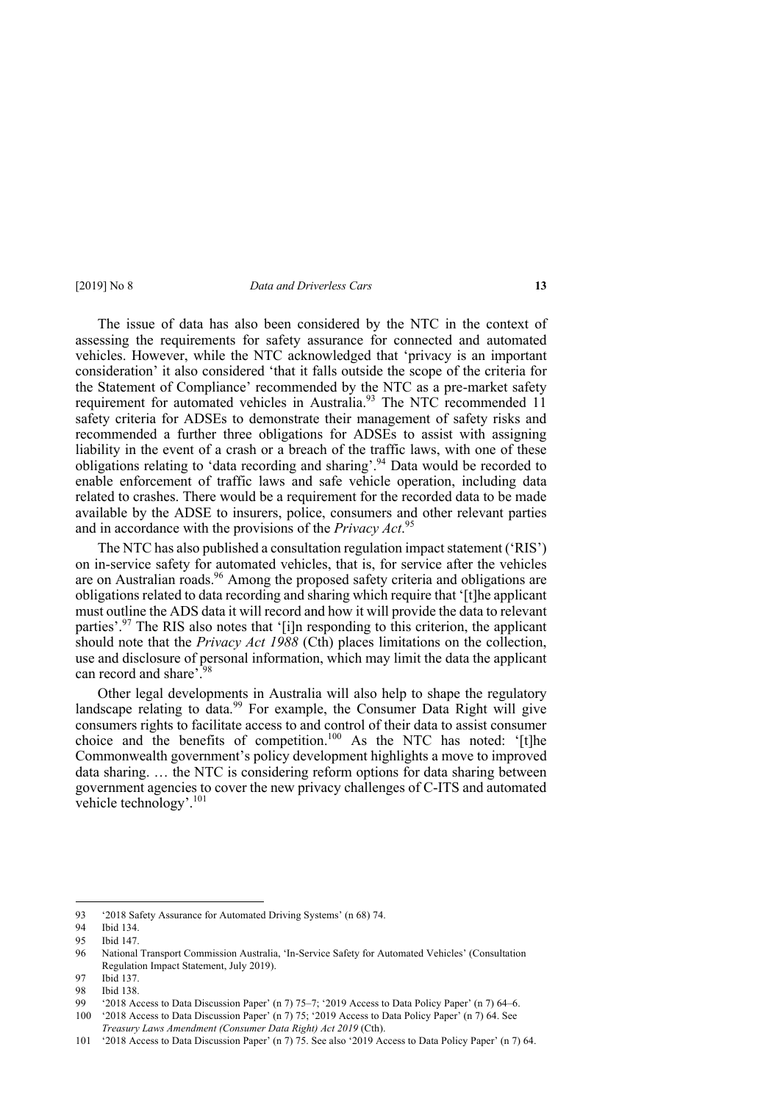The issue of data has also been considered by the NTC in the context of assessing the requirements for safety assurance for connected and automated vehicles. However, while the NTC acknowledged that 'privacy is an important consideration' it also considered 'that it falls outside the scope of the criteria for the Statement of Compliance' recommended by the NTC as a pre-market safety requirement for automated vehicles in Australia.<sup>93</sup> The NTC recommended 11 safety criteria for ADSEs to demonstrate their management of safety risks and recommended a further three obligations for ADSEs to assist with assigning liability in the event of a crash or a breach of the traffic laws, with one of these obligations relating to 'data recording and sharing'.<sup>94</sup> Data would be recorded to enable enforcement of traffic laws and safe vehicle operation, including data related to crashes. There would be a requirement for the recorded data to be made available by the ADSE to insurers, police, consumers and other relevant parties and in accordance with the provisions of the *Privacy Act*. 95

The NTC has also published a consultation regulation impact statement ('RIS') on in-service safety for automated vehicles, that is, for service after the vehicles are on Australian roads.<sup>96</sup> Among the proposed safety criteria and obligations are obligations related to data recording and sharing which require that '[t]he applicant must outline the ADS data it will record and how it will provide the data to relevant parties'.<sup>97</sup> The RIS also notes that '[i]n responding to this criterion, the applicant should note that the *Privacy Act 1988* (Cth) places limitations on the collection, use and disclosure of personal information, which may limit the data the applicant can record and share'. 98

Other legal developments in Australia will also help to shape the regulatory landscape relating to data.<sup>99</sup> For example, the Consumer Data Right will give consumers rights to facilitate access to and control of their data to assist consumer choice and the benefits of competition.<sup>100</sup> As the NTC has noted: '[t]he Commonwealth government's policy development highlights a move to improved data sharing. … the NTC is considering reform options for data sharing between government agencies to cover the new privacy challenges of C-ITS and automated vehicle technology'.<sup>101</sup>

<sup>93</sup> '2018 Safety Assurance for Automated Driving Systems' (n 68) 74.

<sup>94</sup> Ibid 134.

<sup>95</sup> Ibid 147.

<sup>96</sup> National Transport Commission Australia, 'In-Service Safety for Automated Vehicles' (Consultation Regulation Impact Statement, July 2019).

<sup>97</sup> Ibid 137.

<sup>98</sup> Ibid 138.

<sup>99</sup> '2018 Access to Data Discussion Paper' (n 7) 75–7; '2019 Access to Data Policy Paper' (n 7) 64–6.

<sup>100</sup> '2018 Access to Data Discussion Paper' (n 7) 75; '2019 Access to Data Policy Paper' (n 7) 64. See *Treasury Laws Amendment (Consumer Data Right) Act 2019* (Cth).

<sup>101</sup> '2018 Access to Data Discussion Paper' (n 7) 75. See also '2019 Access to Data Policy Paper' (n 7) 64.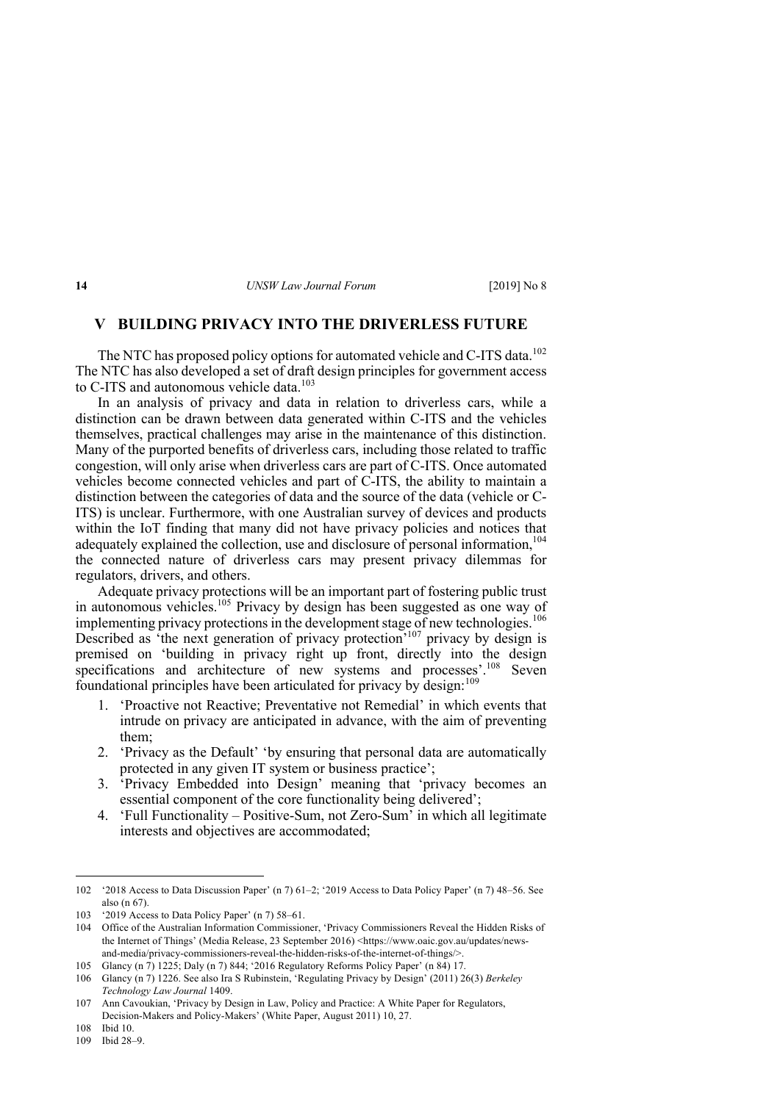## **V BUILDING PRIVACY INTO THE DRIVERLESS FUTURE**

The NTC has proposed policy options for automated vehicle and C-ITS data.<sup>102</sup> The NTC has also developed a set of draft design principles for government access to C-ITS and autonomous vehicle data.<sup>103</sup>

In an analysis of privacy and data in relation to driverless cars, while a distinction can be drawn between data generated within C-ITS and the vehicles themselves, practical challenges may arise in the maintenance of this distinction. Many of the purported benefits of driverless cars, including those related to traffic congestion, will only arise when driverless cars are part of C-ITS. Once automated vehicles become connected vehicles and part of C-ITS, the ability to maintain a distinction between the categories of data and the source of the data (vehicle or C-ITS) is unclear. Furthermore, with one Australian survey of devices and products within the IoT finding that many did not have privacy policies and notices that adequately explained the collection, use and disclosure of personal information.<sup>104</sup> the connected nature of driverless cars may present privacy dilemmas for regulators, drivers, and others.

Adequate privacy protections will be an important part of fostering public trust in autonomous vehicles.105 Privacy by design has been suggested as one way of implementing privacy protections in the development stage of new technologies.<sup>106</sup> Described as 'the next generation of privacy protection'<sup>107</sup> privacy by design is premised on 'building in privacy right up front, directly into the design specifications and architecture of new systems and processes'.<sup>108</sup> Seven foundational principles have been articulated for privacy by design:  $109$ 

- 1. 'Proactive not Reactive; Preventative not Remedial' in which events that intrude on privacy are anticipated in advance, with the aim of preventing them;
- 2. 'Privacy as the Default' 'by ensuring that personal data are automatically protected in any given IT system or business practice';
- 3. 'Privacy Embedded into Design' meaning that 'privacy becomes an essential component of the core functionality being delivered';
- 4. 'Full Functionality Positive-Sum, not Zero-Sum' in which all legitimate interests and objectives are accommodated;

<sup>102</sup> '2018 Access to Data Discussion Paper' (n 7) 61–2; '2019 Access to Data Policy Paper' (n 7) 48–56. See also (n 67).

<sup>103</sup> '2019 Access to Data Policy Paper' (n 7) 58–61.

<sup>104</sup> Office of the Australian Information Commissioner, 'Privacy Commissioners Reveal the Hidden Risks of the Internet of Things' (Media Release, 23 September 2016) <https://www.oaic.gov.au/updates/newsand-media/privacy-commissioners-reveal-the-hidden-risks-of-the-internet-of-things/>.

<sup>105</sup> Glancy (n 7) 1225; Daly (n 7) 844; '2016 Regulatory Reforms Policy Paper' (n 84) 17.

<sup>106</sup> Glancy (n 7) 1226. See also Ira S Rubinstein, 'Regulating Privacy by Design' (2011) 26(3) *Berkeley Technology Law Journal* 1409.

<sup>107</sup> Ann Cavoukian, 'Privacy by Design in Law, Policy and Practice: A White Paper for Regulators, Decision-Makers and Policy-Makers' (White Paper, August 2011) 10, 27.

<sup>108</sup> Ibid 10.

<sup>109</sup> Ibid 28–9.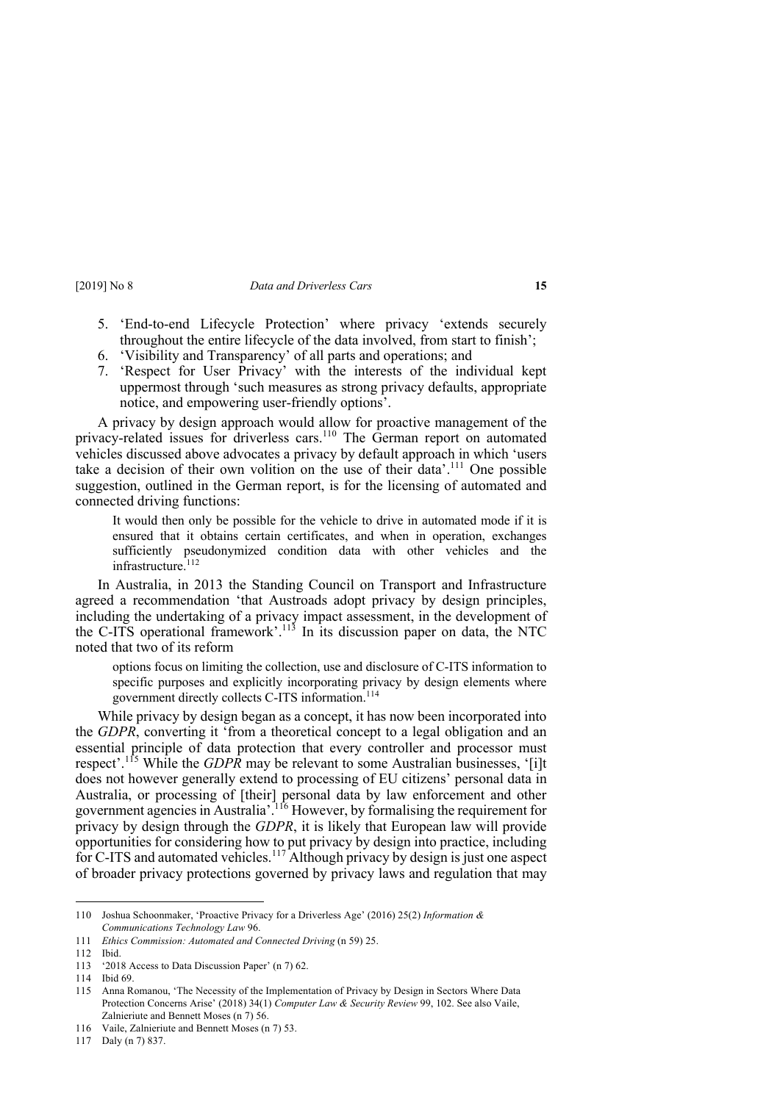- 5. 'End-to-end Lifecycle Protection' where privacy 'extends securely throughout the entire lifecycle of the data involved, from start to finish';
- 6. 'Visibility and Transparency' of all parts and operations; and
- 7. 'Respect for User Privacy' with the interests of the individual kept uppermost through 'such measures as strong privacy defaults, appropriate notice, and empowering user-friendly options'.

A privacy by design approach would allow for proactive management of the privacy-related issues for driverless cars.<sup>110</sup> The German report on automated vehicles discussed above advocates a privacy by default approach in which 'users take a decision of their own volition on the use of their data'. <sup>111</sup> One possible suggestion, outlined in the German report, is for the licensing of automated and connected driving functions:

It would then only be possible for the vehicle to drive in automated mode if it is ensured that it obtains certain certificates, and when in operation, exchanges sufficiently pseudonymized condition data with other vehicles and the infrastructure.<sup>112</sup>

In Australia, in 2013 the Standing Council on Transport and Infrastructure agreed a recommendation 'that Austroads adopt privacy by design principles, including the undertaking of a privacy impact assessment, in the development of the C-ITS operational framework'.<sup>113</sup> In its discussion paper on data, the NTC noted that two of its reform

options focus on limiting the collection, use and disclosure of C-ITS information to specific purposes and explicitly incorporating privacy by design elements where government directly collects C-ITS information.<sup>114</sup>

While privacy by design began as a concept, it has now been incorporated into the *GDPR*, converting it 'from a theoretical concept to a legal obligation and an essential principle of data protection that every controller and processor must respect'.<sup>115</sup> While the *GDPR* may be relevant to some Australian businesses, '[i]t does not however generally extend to processing of EU citizens' personal data in Australia, or processing of [their] personal data by law enforcement and other government agencies in Australia'. <sup>116</sup> However, by formalising the requirement for privacy by design through the *GDPR*, it is likely that European law will provide opportunities for considering how to put privacy by design into practice, including for C-ITS and automated vehicles.<sup>117</sup> Although privacy by design is just one aspect of broader privacy protections governed by privacy laws and regulation that may

117 Daly (n 7) 837.

<sup>110</sup> Joshua Schoonmaker, 'Proactive Privacy for a Driverless Age' (2016) 25(2) *Information & Communications Technology Law* 96.

<sup>111</sup> *Ethics Commission: Automated and Connected Driving* (n 59) 25.

<sup>112</sup> Ibid.

<sup>113</sup> '2018 Access to Data Discussion Paper' (n 7) 62.

<sup>114</sup> Ibid 69.

<sup>115</sup> Anna Romanou, 'The Necessity of the Implementation of Privacy by Design in Sectors Where Data Protection Concerns Arise' (2018) 34(1) *Computer Law & Security Review* 99, 102. See also Vaile, Zalnieriute and Bennett Moses (n 7) 56.

<sup>116</sup> Vaile, Zalnieriute and Bennett Moses (n 7) 53.